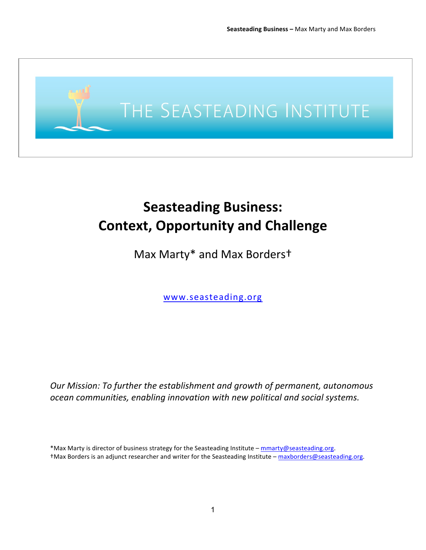

# **Seasteading Business: Context, Opportunity and Challenge**

Max Marty\* and Max Borderst

www.seasteading.org

*Our Mission: To further the establishment and growth of permanent, autonomous ocean\$communities,\$enabling\$innovation\$with\$new\$political\$and\$social\$systems.*

\*Max Marty is director of business strategy for the Seasteading Institute – mmarty@seasteading.org. <sup>†</sup>Max Borders is an adjunct researcher and writer for the Seasteading Institute – maxborders@seasteading.org.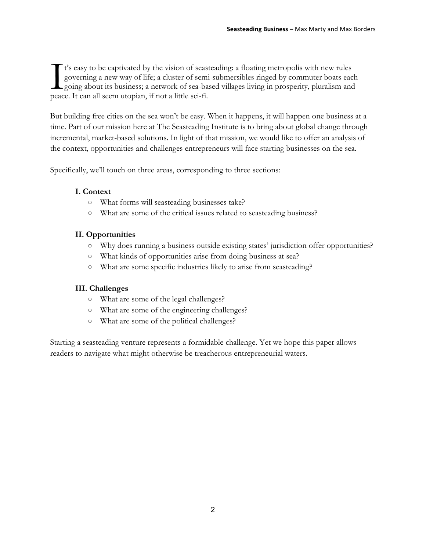t's easy to be captivated by the vision of seasteading: a floating metropolis with new rules governing a new way of life; a cluster of semi-submersibles ringed by commuter boats each going about its business; a network of sea-based villages living in prosperity, pluralism and It's easy to be captivated by the vision of seas<br>governing a new way of life; a cluster of sem<br>going about its business; a network of sea-ba<br>peace. It can all seem utopian, if not a little sci-fi.

But building free cities on the sea won't be easy. When it happens, it will happen one business at a time. Part of our mission here at The Seasteading Institute is to bring about global change through incremental, market-based solutions. In light of that mission, we would like to offer an analysis of the context, opportunities and challenges entrepreneurs will face starting businesses on the sea.

Specifically, we'll touch on three areas, corresponding to three sections:

### **I. Context**

- What forms will seasteading businesses take?
- What are some of the critical issues related to seasteading business?

### **II. Opportunities**

- Why does running a business outside existing states' jurisdiction offer opportunities?
- What kinds of opportunities arise from doing business at sea?
- What are some specific industries likely to arise from seasteading?

### **III. Challenges**

- What are some of the legal challenges?
- What are some of the engineering challenges?
- What are some of the political challenges?

Starting a seasteading venture represents a formidable challenge. Yet we hope this paper allows readers to navigate what might otherwise be treacherous entrepreneurial waters.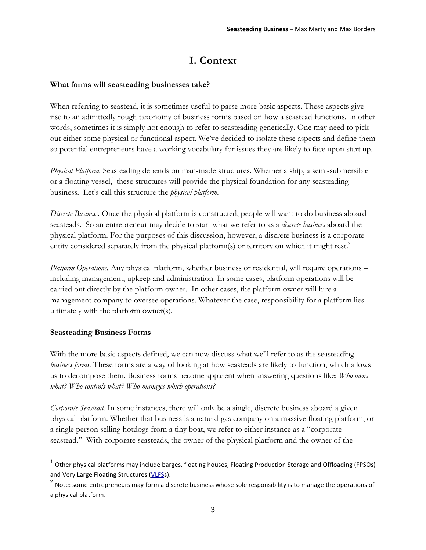# **I. Context**

### **What forms will seasteading businesses take?**

When referring to seastead, it is sometimes useful to parse more basic aspects. These aspects give rise to an admittedly rough taxonomy of business forms based on how a seastead functions. In other words, sometimes it is simply not enough to refer to seasteading generically. One may need to pick out either some physical or functional aspect. We've decided to isolate these aspects and define them so potential entrepreneurs have a working vocabulary for issues they are likely to face upon start up.

*Physical Platform.* Seasteading depends on man-made structures. Whether a ship, a semi-submersible or a floating vessel,<sup>1</sup> these structures will provide the physical foundation for any seasteading business. Let's call this structure the *physical platform.*

*Discrete Business.* Once the physical platform is constructed, people will want to do business aboard seasteads. So an entrepreneur may decide to start what we refer to as a *discrete business* aboard the physical platform. For the purposes of this discussion, however, a discrete business is a corporate entity considered separately from the physical platform(s) or territory on which it might rest.<sup>2</sup>

*Platform Operations.* Any physical platform, whether business or residential, will require operations – including management, upkeep and administration. In some cases, platform operations will be carried out directly by the platform owner. In other cases, the platform owner will hire a management company to oversee operations. Whatever the case, responsibility for a platform lies ultimately with the platform owner(s).

### **Seasteading Business Forms**

With the more basic aspects defined, we can now discuss what we'll refer to as the seasteading *business forms.* These forms are a way of looking at how seasteads are likely to function, which allows us to decompose them. Business forms become apparent when answering questions like: *Who owns what? Who controls what? Who manages which operations?*

*Corporate Seastead.* In some instances, there will only be a single, discrete business aboard a given physical platform. Whether that business is a natural gas company on a massive floating platform, or a single person selling hotdogs from a tiny boat, we refer to either instance as a "corporate seastead." With corporate seasteads, the owner of the physical platform and the owner of the

 $1$  Other physical platforms may include barges, floating houses, Floating Production Storage and Offloading (FPSOs) and Very Large Floating Structures (VLFSs).

 $2$  Note: some entrepreneurs may form a discrete business whose sole responsibility is to manage the operations of a physical platform.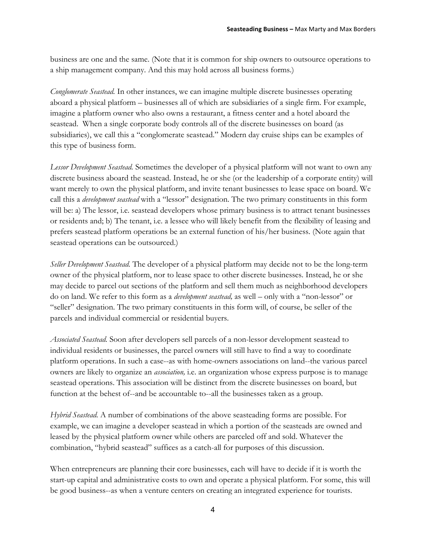business are one and the same. (Note that it is common for ship owners to outsource operations to a ship management company. And this may hold across all business forms.)

*Conglomerate Seastead.* In other instances, we can imagine multiple discrete businesses operating aboard a physical platform – businesses all of which are subsidiaries of a single firm. For example, imagine a platform owner who also owns a restaurant, a fitness center and a hotel aboard the seastead. When a single corporate body controls all of the discrete businesses on board (as subsidiaries), we call this a "conglomerate seastead." Modern day cruise ships can be examples of this type of business form.

*Lessor Development Seastead.* Sometimes the developer of a physical platform will not want to own any discrete business aboard the seastead. Instead, he or she (or the leadership of a corporate entity) will want merely to own the physical platform, and invite tenant businesses to lease space on board. We call this a *development seastead* with a "lessor" designation. The two primary constituents in this form will be: a) The lessor, i.e. seastead developers whose primary business is to attract tenant businesses or residents and; b) The tenant, i.e. a lessee who will likely benefit from the flexibility of leasing and prefers seastead platform operations be an external function of his/her business. (Note again that seastead operations can be outsourced.)

*Seller Development Seastead.* The developer of a physical platform may decide not to be the long-term owner of the physical platform, nor to lease space to other discrete businesses. Instead, he or she may decide to parcel out sections of the platform and sell them much as neighborhood developers do on land. We refer to this form as a *development seastead,* as well – only with a "non-lessor" or "seller" designation. The two primary constituents in this form will, of course, be seller of the parcels and individual commercial or residential buyers.

*Associated Seastead.* Soon after developers sell parcels of a non-lessor development seastead to individual residents or businesses, the parcel owners will still have to find a way to coordinate platform operations. In such a case--as with home-owners associations on land--the various parcel owners are likely to organize an *association,* i.e. an organization whose express purpose is to manage seastead operations. This association will be distinct from the discrete businesses on board, but function at the behest of--and be accountable to--all the businesses taken as a group.

*Hybrid Seastead.* A number of combinations of the above seasteading forms are possible. For example, we can imagine a developer seastead in which a portion of the seasteads are owned and leased by the physical platform owner while others are parceled off and sold. Whatever the combination, "hybrid seastead" suffices as a catch-all for purposes of this discussion.

When entrepreneurs are planning their core businesses, each will have to decide if it is worth the start-up capital and administrative costs to own and operate a physical platform. For some, this will be good business--as when a venture centers on creating an integrated experience for tourists.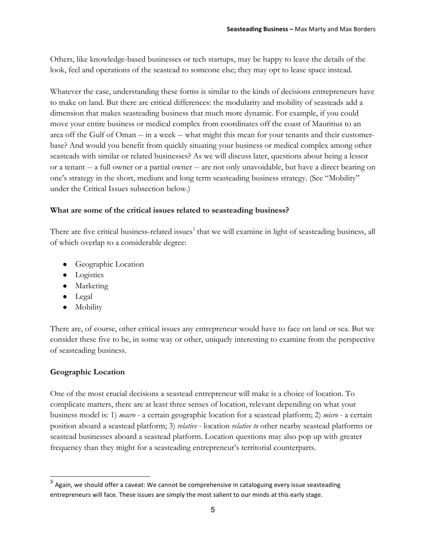Others, like knowledge-based businesses or tech startups, may be happy to leave the details of the look, feel and operations of the seastead to someone else; they may opt to lease space instead.

Whatever the case, understanding these forms is similar to the kinds of decisions entrepreneurs have to make on land. But there are critical differences: the modularity and mobility of seasteads add a dimension that makes seasteading business that much more dynamic. For example, if you could move your entire business or medical complex from coordinates off the coast of Mauritius to an area off the Gulf of Oman -- in a week -- what might this mean for your tenants and their customerbase? And would you benefit from quickly situating your business or medical complex among other seasteads with similar or related businesses? As we will discuss later, questions about being a lessor or a tenant -- a full owner or a partial owner -- are not only unavoidable, but have a direct bearing on one's strategy in the short, medium and long term seasteading business strategy. (See "Mobility" under the Critical Issues subsection below.)

### **What are some of the critical issues related to seasteading business?**

There are five critical business-related issues<sup>3</sup> that we will examine in light of seasteading business, all of which overlap to a considerable degree:

- Geographic Location
- Logistics
- Marketing
- Legal
- Mobility

There are, of course, other critical issues any entrepreneur would have to face on land or sea. But we consider these five to be, in some way or other, uniquely interesting to examine from the perspective of seasteading business.

### **Geographic Location**

One of the most crucial decisions a seastead entrepreneur will make is a choice of location. To complicate matters, there are at least three senses of location, relevant depending on what your business model is: 1) *macro* - a certain geographic location for a seastead platform; 2) *micro* - a certain position aboard a seastead platform; 3) *relative* - location *relative to* other nearby seastead platforms or seastead businesses aboard a seastead platform. Location questions may also pop up with greater frequency than they might for a seasteading entrepreneur's territorial counterparts.

 $3$  Again, we should offer a caveat: We cannot be comprehensive in cataloguing every issue seasteading entrepreneurs will face. These issues are simply the most salient to our minds at this early stage.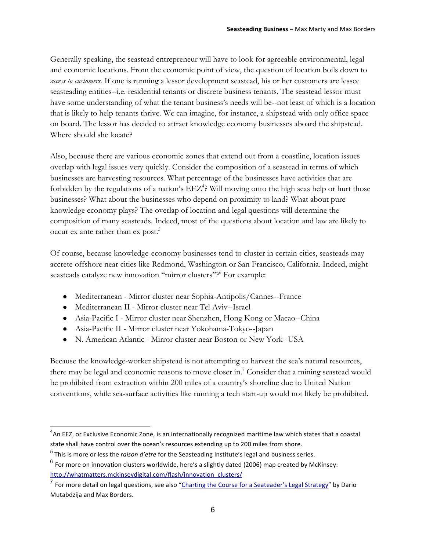Generally speaking, the seastead entrepreneur will have to look for agreeable environmental, legal and economic locations. From the economic point of view, the question of location boils down to *access to customers.* If one is running a lessor development seastead, his or her customers are lessee seasteading entities--i.e. residential tenants or discrete business tenants. The seastead lessor must have some understanding of what the tenant business's needs will be--not least of which is a location that is likely to help tenants thrive. We can imagine, for instance, a shipstead with only office space on board. The lessor has decided to attract knowledge economy businesses aboard the shipstead. Where should she locate?

Also, because there are various economic zones that extend out from a coastline, location issues overlap with legal issues very quickly. Consider the composition of a seastead in terms of which businesses are harvesting resources. What percentage of the businesses have activities that are forbidden by the regulations of a nation's EEZ<sup>4</sup>? Will moving onto the high seas help or hurt those businesses? What about the businesses who depend on proximity to land? What about pure knowledge economy plays? The overlap of location and legal questions will determine the composition of many seasteads. Indeed, most of the questions about location and law are likely to occur ex ante rather than ex post.<sup>5</sup>

Of course, because knowledge-economy businesses tend to cluster in certain cities, seasteads may accrete offshore near cities like Redmond, Washington or San Francisco, California. Indeed, might seasteads catalyze new innovation "mirror clusters"?<sup>6</sup> For example:

- Mediterranean Mirror cluster near Sophia-Antipolis/Cannes--France
- Mediterranean II Mirror cluster near Tel Aviv--Israel
- Asia-Pacific I Mirror cluster near Shenzhen, Hong Kong or Macao--China
- Asia-Pacific II Mirror cluster near Yokohama-Tokyo--Japan
- N. American Atlantic Mirror cluster near Boston or New York--USA

Because the knowledge-worker shipstead is not attempting to harvest the sea's natural resources, there may be legal and economic reasons to move closer in.<sup>7</sup> Consider that a mining seastead would be prohibited from extraction within 200 miles of a country's shoreline due to United Nation conventions, while sea-surface activities like running a tech start-up would not likely be prohibited.

<sup>&</sup>lt;u>and the EEZ, or Exclusive Economic Zone</u>, is an internationally recognized maritime law which states that a coastal<br><sup>4</sup> An EEZ, or Exclusive Economic Zone, is an internationally recognized maritime law which states that a state shall have control over the ocean's resources extending up to 200 miles from shore.

<sup>&</sup>lt;sup>5</sup> This is more or less the *raison d'etre* for the Seasteading Institute's legal and business series.

 $^6$  For more on innovation clusters worldwide, here's a slightly dated (2006) map created by McKinsey: http://whatmatters.mckinseydigital.com/flash/innovation\_clusters/

<sup>&</sup>lt;sup>7</sup> For more detail on legal questions, see also "Charting the Course for a Seateader's Legal Strategy" by Dario Mutabdzija and Max Borders.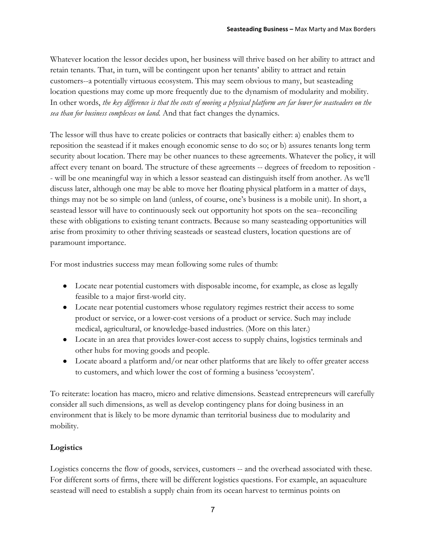Whatever location the lessor decides upon, her business will thrive based on her ability to attract and retain tenants. That, in turn, will be contingent upon her tenants' ability to attract and retain customers--a potentially virtuous ecosystem. This may seem obvious to many, but seasteading location questions may come up more frequently due to the dynamism of modularity and mobility. In other words, *the key difference is that the costs of moving a physical platform are far lower for seasteaders on the sea than for business complexes on land.* And that fact changes the dynamics.

The lessor will thus have to create policies or contracts that basically either: a) enables them to reposition the seastead if it makes enough economic sense to do so; or b) assures tenants long term security about location. There may be other nuances to these agreements. Whatever the policy, it will affect every tenant on board. The structure of these agreements -- degrees of freedom to reposition - - will be one meaningful way in which a lessor seastead can distinguish itself from another. As we'll discuss later, although one may be able to move her floating physical platform in a matter of days, things may not be so simple on land (unless, of course, one's business is a mobile unit). In short, a seastead lessor will have to continuously seek out opportunity hot spots on the sea--reconciling these with obligations to existing tenant contracts. Because so many seasteading opportunities will arise from proximity to other thriving seasteads or seastead clusters, location questions are of paramount importance.

For most industries success may mean following some rules of thumb:

- Locate near potential customers with disposable income, for example, as close as legally feasible to a major first-world city.
- Locate near potential customers whose regulatory regimes restrict their access to some product or service, or a lower-cost versions of a product or service. Such may include medical, agricultural, or knowledge-based industries. (More on this later.)
- Locate in an area that provides lower-cost access to supply chains, logistics terminals and other hubs for moving goods and people.
- Locate aboard a platform and/or near other platforms that are likely to offer greater access to customers, and which lower the cost of forming a business 'ecosystem'.

To reiterate: location has macro, micro and relative dimensions. Seastead entrepreneurs will carefully consider all such dimensions, as well as develop contingency plans for doing business in an environment that is likely to be more dynamic than territorial business due to modularity and mobility.

### **Logistics**

Logistics concerns the flow of goods, services, customers -- and the overhead associated with these. For different sorts of firms, there will be different logistics questions. For example, an aquaculture seastead will need to establish a supply chain from its ocean harvest to terminus points on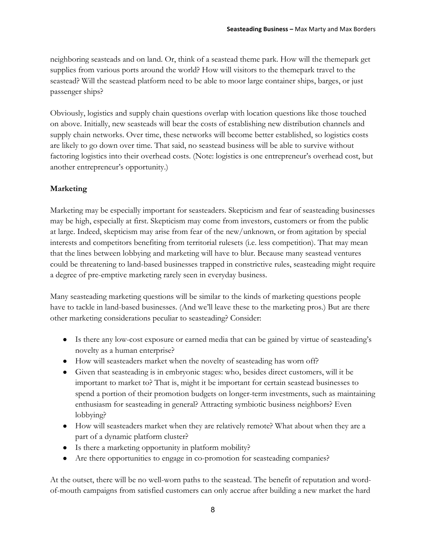neighboring seasteads and on land. Or, think of a seastead theme park. How will the themepark get supplies from various ports around the world? How will visitors to the themepark travel to the seastead? Will the seastead platform need to be able to moor large container ships, barges, or just passenger ships?

Obviously, logistics and supply chain questions overlap with location questions like those touched on above. Initially, new seasteads will bear the costs of establishing new distribution channels and supply chain networks. Over time, these networks will become better established, so logistics costs are likely to go down over time. That said, no seastead business will be able to survive without factoring logistics into their overhead costs. (Note: logistics is one entrepreneur's overhead cost, but another entrepreneur's opportunity.)

### **Marketing**

Marketing may be especially important for seasteaders. Skepticism and fear of seasteading businesses may be high, especially at first. Skepticism may come from investors, customers or from the public at large. Indeed, skepticism may arise from fear of the new/unknown, or from agitation by special interests and competitors benefiting from territorial rulesets (i.e. less competition). That may mean that the lines between lobbying and marketing will have to blur. Because many seastead ventures could be threatening to land-based businesses trapped in constrictive rules, seasteading might require a degree of pre-emptive marketing rarely seen in everyday business.

Many seasteading marketing questions will be similar to the kinds of marketing questions people have to tackle in land-based businesses. (And we'll leave these to the marketing pros.) But are there other marketing considerations peculiar to seasteading? Consider:

- Is there any low-cost exposure or earned media that can be gained by virtue of seasteading's novelty as a human enterprise?
- How will seasteaders market when the novelty of seasteading has worn off?
- Given that seasteading is in embryonic stages: who, besides direct customers, will it be important to market to? That is, might it be important for certain seastead businesses to spend a portion of their promotion budgets on longer-term investments, such as maintaining enthusiasm for seasteading in general? Attracting symbiotic business neighbors? Even lobbying?
- How will seasteaders market when they are relatively remote? What about when they are a part of a dynamic platform cluster?
- Is there a marketing opportunity in platform mobility?
- Are there opportunities to engage in co-promotion for seasteading companies?

At the outset, there will be no well-worn paths to the seastead. The benefit of reputation and wordof-mouth campaigns from satisfied customers can only accrue after building a new market the hard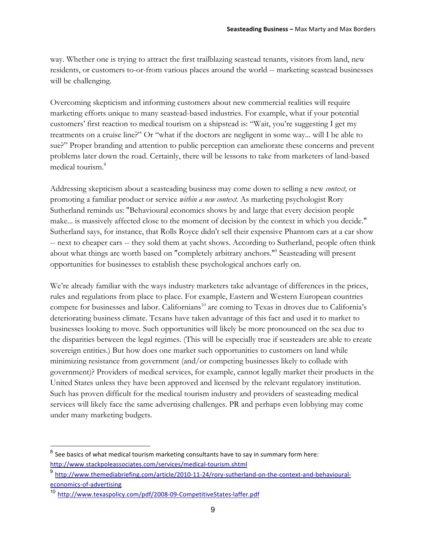way. Whether one is trying to attract the first trailblazing seastead tenants, visitors from land, new residents, or customers to-or-from various places around the world -- marketing seastead businesses will be challenging.

Overcoming skepticism and informing customers about new commercial realities will require marketing efforts unique to many seastead-based industries. For example, what if your potential customers' first reaction to medical tourism on a shipstead is: "Wait, you're suggesting I get my treatments on a cruise line?" Or "what if the doctors are negligent in some way... will I be able to sue?" Proper branding and attention to public perception can ameliorate these concerns and prevent problems later down the road. Certainly, there will be lessons to take from marketers of land-based medical tourism.<sup>8</sup>

Addressing skepticism about a seasteading business may come down to selling a new *context,* or promoting a familiar product or service *within a new context.* As marketing psychologist Rory Sutherland reminds us: "Behavioural economics shows by and large that every decision people make... is massively affected close to the moment of decision by the context in which you decide." Sutherland says, for instance, that Rolls Royce didn't sell their expensive Phantom cars at a car show -- next to cheaper cars -- they sold them at yacht shows. According to Sutherland, people often think about what things are worth based on "completely arbitrary anchors."<sup>9</sup> Seasteading will present opportunities for businesses to establish these psychological anchors early on.

We're already familiar with the ways industry marketers take advantage of differences in the prices, rules and regulations from place to place. For example, Eastern and Western European countries compete for businesses and labor. Californians<sup>10</sup> are coming to Texas in droves due to California's deteriorating business climate. Texans have taken advantage of this fact and used it to market to businesses looking to move. Such opportunities will likely be more pronounced on the sea due to the disparities between the legal regimes. (This will be especially true if seasteaders are able to create sovereign entities.) But how does one market such opportunities to customers on land while minimizing resistance from government (and/or competing businesses likely to collude with government)? Providers of medical services, for example, cannot legally market their products in the United States unless they have been approved and licensed by the relevant regulatory institution. Such has proven difficult for the medical tourism industry and providers of seasteading medical services will likely face the same advertising challenges. PR and perhaps even lobbying may come under many marketing budgets.

See basics of what medical tourism marketing consultants have to say in summary form here: http://www.stackpoleassociates.com/services/medical-tourism.shtml

 $^9$  http://www.themediabriefing.com/article/2010-11-24/rory-sutherland-on-the-context-and-behaviouraleconomics-of-advertising

<sup>&</sup>lt;sup>10</sup> http://www.texaspolicy.com/pdf/2008-09-CompetitiveStates-laffer.pdf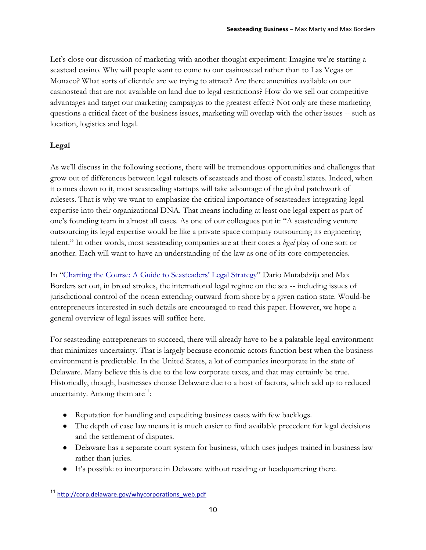Let's close our discussion of marketing with another thought experiment: Imagine we're starting a seastead casino. Why will people want to come to our casinostead rather than to Las Vegas or Monaco? What sorts of clientele are we trying to attract? Are there amenities available on our casinostead that are not available on land due to legal restrictions? How do we sell our competitive advantages and target our marketing campaigns to the greatest effect? Not only are these marketing questions a critical facet of the business issues, marketing will overlap with the other issues -- such as location, logistics and legal.

### **Legal**

As we'll discuss in the following sections, there will be tremendous opportunities and challenges that grow out of differences between legal rulesets of seasteads and those of coastal states. Indeed, when it comes down to it, most seasteading startups will take advantage of the global patchwork of rulesets. That is why we want to emphasize the critical importance of seasteaders integrating legal expertise into their organizational DNA. That means including at least one legal expert as part of one's founding team in almost all cases. As one of our colleagues put it: "A seasteading venture outsourcing its legal expertise would be like a private space company outsourcing its engineering talent." In other words, most seasteading companies are at their cores a *legal* play of one sort or another. Each will want to have an understanding of the law as one of its core competencies.

In "Charting the Course: A Guide to Seasteaders' Legal Strategy" Dario Mutabdzija and Max Borders set out, in broad strokes, the international legal regime on the sea -- including issues of jurisdictional control of the ocean extending outward from shore by a given nation state. Would-be entrepreneurs interested in such details are encouraged to read this paper. However, we hope a general overview of legal issues will suffice here.

For seasteading entrepreneurs to succeed, there will already have to be a palatable legal environment that minimizes uncertainty. That is largely because economic actors function best when the business environment is predictable. In the United States, a lot of companies incorporate in the state of Delaware. Many believe this is due to the low corporate taxes, and that may certainly be true. Historically, though, businesses choose Delaware due to a host of factors, which add up to reduced uncertainty. Among them  $are^{11}$ :

- Reputation for handling and expediting business cases with few backlogs.
- The depth of case law means it is much easier to find available precedent for legal decisions and the settlement of disputes.
- Delaware has a separate court system for business, which uses judges trained in business law rather than juries.
- It's possible to incorporate in Delaware without residing or headquartering there.

<sup>11</sup> http://corp.delaware.gov/whycorporations\_web.pdf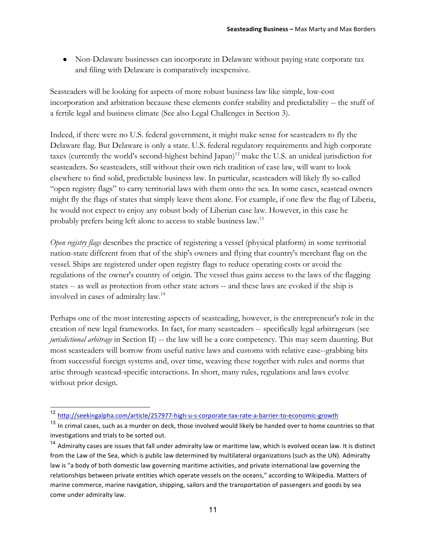● Non-Delaware businesses can incorporate in Delaware without paying state corporate tax and filing with Delaware is comparatively inexpensive.

Seasteaders will be looking for aspects of more robust business law like simple, low-cost incorporation and arbitration because these elements confer stability and predictability -- the stuff of a fertile legal and business climate (See also Legal Challenges in Section 3).

Indeed, if there were no U.S. federal government, it might make sense for seasteaders to fly the Delaware flag. But Delaware is only a state. U.S. federal regulatory requirements and high corporate taxes (currently the world's second-highest behind Japan)<sup>12</sup> make the U.S. an unideal jurisdiction for seasteaders. So seasteaders, still without their own rich tradition of case law, will want to look elsewhere to find solid, predictable business law. In particular, seasteaders will likely fly so-called "open registry flags" to carry territorial laws with them onto the sea. In some cases, seastead owners might fly the flags of states that simply leave them alone. For example, if one flew the flag of Liberia, he would not expect to enjoy any robust body of Liberian case law. However, in this case he probably prefers being left alone to access to stable business law.13

*Open registry flags* describes the practice of registering a vessel (physical platform) in some territorial nation-state different from that of the ship's owners and flying that country's merchant flag on the vessel. Ships are registered under open registry flags to reduce operating costs or avoid the regulations of the owner's country of origin. The vessel thus gains access to the laws of the flagging states -- as well as protection from other state actors -- and these laws are evoked if the ship is involved in cases of admiralty law.14

Perhaps one of the most interesting aspects of seasteading, however, is the entrepreneur's role in the creation of new legal frameworks. In fact, for many seasteaders -- specifically legal arbitrageurs (see *jurisdictional arbitrage* in Section II) -- the law will be a core competency. This may seem daunting. But most seasteaders will borrow from useful native laws and customs with relative ease--grabbing bits from successful foreign systems and, over time, weaving these together with rules and norms that arise through seastead-specific interactions. In short, many rules, regulations and laws evolve without prior design.

<sup>12</sup> http://seekingalpha.com/article/257977-high-u-s-corporate-tax-rate-a-barrier-to-economic-growth

 $13$  In crimal cases, such as a murder on deck, those involved would likely be handed over to home countries so that investigations and trials to be sorted out.

 $14$  Admiralty cases are issues that fall under admiralty law or maritime law, which is evolved ocean law. It is distinct from the Law of the Sea, which is public law determined by multilateral organizations (such as the UN). Admiralty law is "a body of both domestic law governing maritime activities, and private international law governing the relationships between private entities which operate vessels on the oceans," according to Wikipedia. Matters of marine commerce, marine navigation, shipping, sailors and the transportation of passengers and goods by sea come under admiralty law.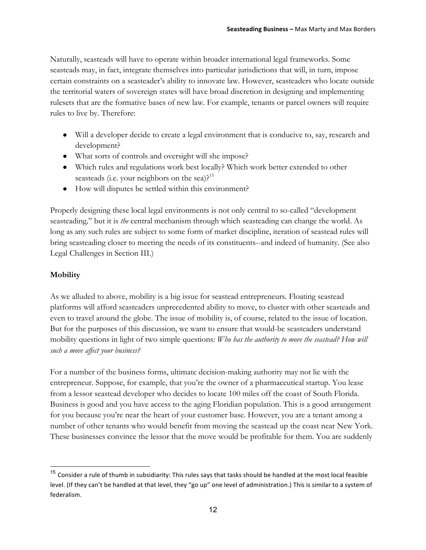Naturally, seasteads will have to operate within broader international legal frameworks. Some seasteads may, in fact, integrate themselves into particular jurisdictions that will, in turn, impose certain constraints on a seasteader's ability to innovate law. However, seasteaders who locate outside the territorial waters of sovereign states will have broad discretion in designing and implementing rulesets that are the formative bases of new law. For example, tenants or parcel owners will require rules to live by. Therefore:

- Will a developer decide to create a legal environment that is conducive to, say, research and development?
- What sorts of controls and oversight will she impose?
- Which rules and regulations work best locally? Which work better extended to other seasteads (i.e. your neighbors on the sea). $2^{15}$
- How will disputes be settled within this environment?

Properly designing these local legal environments is not only central to so-called "development seasteading*,*" but it is *the* central mechanism through which seasteading can change the world. As long as any such rules are subject to some form of market discipline, iteration of seastead rules will bring seasteading closer to meeting the needs of its constituents--and indeed of humanity. (See also Legal Challenges in Section III.)

### **Mobility**

As we alluded to above, mobility is a big issue for seastead entrepreneurs. Floating seastead platforms will afford seasteaders unprecedented ability to move, to cluster with other seasteads and even to travel around the globe. The issue of mobility is, of course, related to the issue of location. But for the purposes of this discussion, we want to ensure that would-be seasteaders understand mobility questions in light of two simple questions: *Who has the authority to move the seastead? How will such a move affect your business?*

For a number of the business forms, ultimate decision-making authority may not lie with the entrepreneur. Suppose, for example, that you're the owner of a pharmaceutical startup. You lease from a lessor seastead developer who decides to locate 100 miles off the coast of South Florida. Business is good and you have access to the aging Floridian population. This is a good arrangement for you because you're near the heart of your customer base. However, you are a tenant among a number of other tenants who would benefit from moving the seastead up the coast near New York. These businesses convince the lessor that the move would be profitable for them. You are suddenly

 $15$  Consider a rule of thumb in subsidiarity: This rules says that tasks should be handled at the most local feasible level. (If they can't be handled at that level, they "go up" one level of administration.) This is similar to a system of federalism.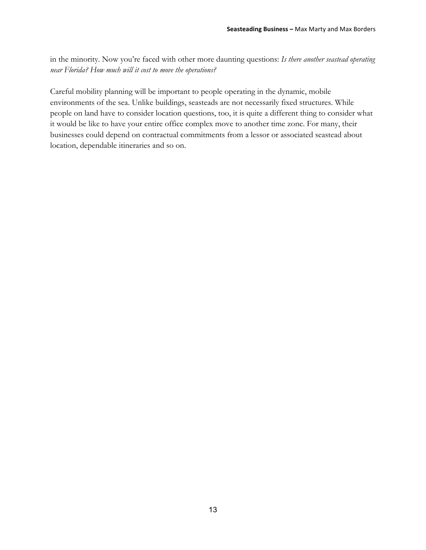in the minority. Now you're faced with other more daunting questions: *Is there another seastead operating near Florida? How much will it cost to move the operations?*

Careful mobility planning will be important to people operating in the dynamic, mobile environments of the sea. Unlike buildings, seasteads are not necessarily fixed structures. While people on land have to consider location questions, too, it is quite a different thing to consider what it would be like to have your entire office complex move to another time zone. For many, their businesses could depend on contractual commitments from a lessor or associated seastead about location, dependable itineraries and so on.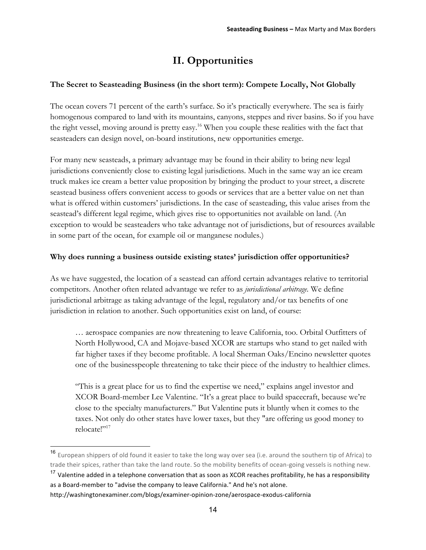## **II. Opportunities**

### **The Secret to Seasteading Business (in the short term): Compete Locally, Not Globally**

The ocean covers 71 percent of the earth's surface. So it's practically everywhere. The sea is fairly homogenous compared to land with its mountains, canyons, steppes and river basins. So if you have the right vessel, moving around is pretty easy.<sup>16</sup> When you couple these realities with the fact that seasteaders can design novel, on-board institutions, new opportunities emerge.

For many new seasteads, a primary advantage may be found in their ability to bring new legal jurisdictions conveniently close to existing legal jurisdictions. Much in the same way an ice cream truck makes ice cream a better value proposition by bringing the product to your street, a discrete seastead business offers convenient access to goods or services that are a better value on net than what is offered within customers' jurisdictions. In the case of seasteading, this value arises from the seastead's different legal regime, which gives rise to opportunities not available on land. (An exception to would be seasteaders who take advantage not of jurisdictions, but of resources available in some part of the ocean, for example oil or manganese nodules.)

### **Why does running a business outside existing states' jurisdiction offer opportunities?**

As we have suggested, the location of a seastead can afford certain advantages relative to territorial competitors. Another often related advantage we refer to as *jurisdictional arbitrage.* We define jurisdictional arbitrage as taking advantage of the legal, regulatory and/or tax benefits of one jurisdiction in relation to another. Such opportunities exist on land, of course:

… aerospace companies are now threatening to leave California, too. Orbital Outfitters of North Hollywood, CA and Mojave-based XCOR are startups who stand to get nailed with far higher taxes if they become profitable. A local Sherman Oaks/Encino newsletter quotes one of the businesspeople threatening to take their piece of the industry to healthier climes.

"This is a great place for us to find the expertise we need," explains angel investor and XCOR Board-member Lee Valentine. "It's a great place to build spacecraft, because we're close to the specialty manufacturers." But Valentine puts it bluntly when it comes to the taxes. Not only do other states have lower taxes, but they "are offering us good money to relocate<sup>1</sup>"<sup>17</sup>

<sup>16</sup> European shippers of old found it easier to take the long way over sea (i.e. around the southern tip of Africa) to trade their spices, rather than take the land route. So the mobility benefits of ocean-going vessels is nothing new.

<sup>&</sup>lt;sup>17</sup> Valentine added in a telephone conversation that as soon as XCOR reaches profitability, he has a responsibility as a Board-member to "advise the company to leave California." And he's not alone.

http://washingtonexaminer.com/blogs/examiner-opinion-zone/aerospace-exodus-california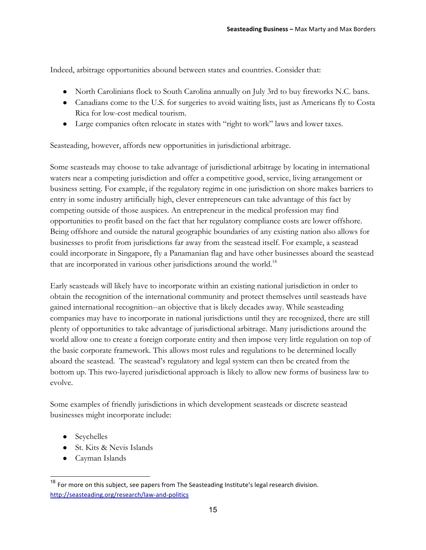Indeed, arbitrage opportunities abound between states and countries. Consider that:

- North Carolinians flock to South Carolina annually on July 3rd to buy fireworks N.C. bans.
- Canadians come to the U.S. for surgeries to avoid waiting lists, just as Americans fly to Costa Rica for low-cost medical tourism.
- Large companies often relocate in states with "right to work" laws and lower taxes.

Seasteading, however, affords new opportunities in jurisdictional arbitrage.

Some seasteads may choose to take advantage of jurisdictional arbitrage by locating in international waters near a competing jurisdiction and offer a competitive good, service, living arrangement or business setting. For example, if the regulatory regime in one jurisdiction on shore makes barriers to entry in some industry artificially high, clever entrepreneurs can take advantage of this fact by competing outside of those auspices. An entrepreneur in the medical profession may find opportunities to profit based on the fact that her regulatory compliance costs are lower offshore. Being offshore and outside the natural geographic boundaries of any existing nation also allows for businesses to profit from jurisdictions far away from the seastead itself. For example, a seastead could incorporate in Singapore, fly a Panamanian flag and have other businesses aboard the seastead that are incorporated in various other jurisdictions around the world.<sup>18</sup>

Early seasteads will likely have to incorporate within an existing national jurisdiction in order to obtain the recognition of the international community and protect themselves until seasteads have gained international recognition--an objective that is likely decades away. While seasteading companies may have to incorporate in national jurisdictions until they are recognized, there are still plenty of opportunities to take advantage of jurisdictional arbitrage. Many jurisdictions around the world allow one to create a foreign corporate entity and then impose very little regulation on top of the basic corporate framework. This allows most rules and regulations to be determined locally aboard the seastead. The seastead's regulatory and legal system can then be created from the bottom up. This two-layered jurisdictional approach is likely to allow new forms of business law to evolve.

Some examples of friendly jurisdictions in which development seasteads or discrete seastead businesses might incorporate include:

- Seychelles
- St. Kits & Nevis Islands
- Cayman Islands

 $18$  For more on this subject, see papers from The Seasteading Institute's legal research division. http://seasteading.org/research/law-and-politics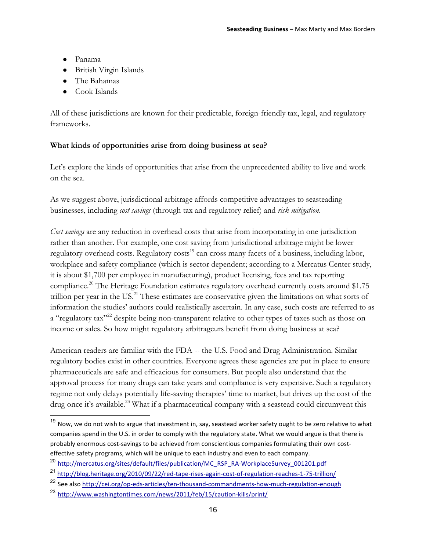- Panama
- British Virgin Islands
- The Bahamas
- Cook Islands

All of these jurisdictions are known for their predictable, foreign-friendly tax, legal, and regulatory frameworks.

### **What kinds of opportunities arise from doing business at sea?**

Let's explore the kinds of opportunities that arise from the unprecedented ability to live and work on the sea.

As we suggest above, jurisdictional arbitrage affords competitive advantages to seasteading businesses, including *cost savings* (through tax and regulatory relief) and *risk mitigation*.

*Cost savings* are any reduction in overhead costs that arise from incorporating in one jurisdiction rather than another. For example, one cost saving from jurisdictional arbitrage might be lower regulatory overhead costs. Regulatory costs<sup>19</sup> can cross many facets of a business, including labor, workplace and safety compliance (which is sector dependent; according to a Mercatus Center study, it is about \$1,700 per employee in manufacturing), product licensing, fees and tax reporting compliance.<sup>20</sup> The Heritage Foundation estimates regulatory overhead currently costs around \$1.75 trillion per year in the US.<sup>21</sup> These estimates are conservative given the limitations on what sorts of information the studies' authors could realistically ascertain. In any case, such costs are referred to as a "regulatory tax"<sup>22</sup> despite being non-transparent relative to other types of taxes such as those on income or sales. So how might regulatory arbitrageurs benefit from doing business at sea?

American readers are familiar with the FDA -- the U.S. Food and Drug Administration. Similar regulatory bodies exist in other countries. Everyone agrees these agencies are put in place to ensure pharmaceuticals are safe and efficacious for consumers. But people also understand that the approval process for many drugs can take years and compliance is very expensive. Such a regulatory regime not only delays potentially life-saving therapies' time to market, but drives up the cost of the drug once it's available.<sup>23</sup> What if a pharmaceutical company with a seastead could circumvent this

<sup>&</sup>lt;sup>19</sup> Now. we do not wish to argue that investment in, say, seastead worker safety ought to be zero relative to what companies spend in the U.S. in order to comply with the regulatory state. What we would argue is that there is probably enormous cost-savings to be achieved from conscientious companies formulating their own costeffective safety programs, which will be unique to each industry and even to each company.

<sup>&</sup>lt;sup>20</sup> http://mercatus.org/sites/default/files/publication/MC\_RSP\_RA-WorkplaceSurvey\_001201.pdf

<sup>&</sup>lt;sup>21</sup> http://blog.heritage.org/2010/09/22/red-tape-rises-again-cost-of-regulation-reaches-1-75-trillion/

<sup>&</sup>lt;sup>22</sup> See also http://cei.org/op-eds-articles/ten-thousand-commandments-how-much-regulation-enough

<sup>&</sup>lt;sup>23</sup> http://www.washingtontimes.com/news/2011/feb/15/caution-kills/print/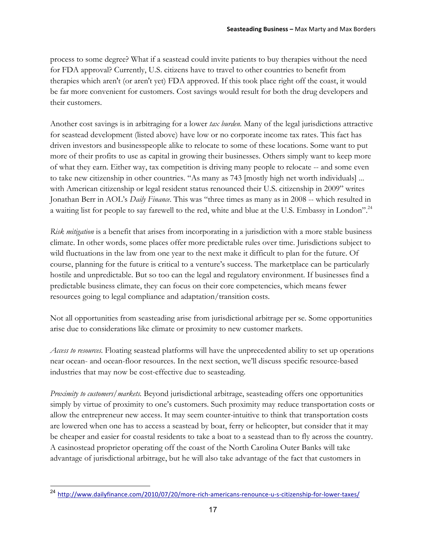process to some degree? What if a seastead could invite patients to buy therapies without the need for FDA approval? Currently, U.S. citizens have to travel to other countries to benefit from therapies which aren't (or aren't yet) FDA approved. If this took place right off the coast, it would be far more convenient for customers. Cost savings would result for both the drug developers and their customers.

Another cost savings is in arbitraging for a lower *tax burden.* Many of the legal jurisdictions attractive for seastead development (listed above) have low or no corporate income tax rates. This fact has driven investors and businesspeople alike to relocate to some of these locations. Some want to put more of their profits to use as capital in growing their businesses. Others simply want to keep more of what they earn. Either way, tax competition is driving many people to relocate -- and some even to take new citizenship in other countries. "As many as 743 [mostly high net worth individuals] ... with American citizenship or legal resident status renounced their U.S. citizenship in 2009" writes Jonathan Berr in AOL's *Daily Finance*. This was "three times as many as in 2008 -- which resulted in a waiting list for people to say farewell to the red, white and blue at the U.S. Embassy in London".<sup>24</sup>

*Risk mitigation* is a benefit that arises from incorporating in a jurisdiction with a more stable business climate. In other words, some places offer more predictable rules over time. Jurisdictions subject to wild fluctuations in the law from one year to the next make it difficult to plan for the future. Of course, planning for the future is critical to a venture's success. The marketplace can be particularly hostile and unpredictable. But so too can the legal and regulatory environment. If businesses find a predictable business climate, they can focus on their core competencies, which means fewer resources going to legal compliance and adaptation/transition costs.

Not all opportunities from seasteading arise from jurisdictional arbitrage per se. Some opportunities arise due to considerations like climate or proximity to new customer markets.

*Access to resources.* Floating seastead platforms will have the unprecedented ability to set up operations near ocean- and ocean-floor resources. In the next section, we'll discuss specific resource-based industries that may now be cost-effective due to seasteading.

*Proximity to customers/markets.* Beyond jurisdictional arbitrage, seasteading offers one opportunities simply by virtue of proximity to one's customers. Such proximity may reduce transportation costs or allow the entrepreneur new access. It may seem counter-intuitive to think that transportation costs are lowered when one has to access a seastead by boat, ferry or helicopter, but consider that it may be cheaper and easier for coastal residents to take a boat to a seastead than to fly across the country. A casinostead proprietor operating off the coast of the North Carolina Outer Banks will take advantage of jurisdictional arbitrage, but he will also take advantage of the fact that customers in

<sup>&</sup>lt;sup>24</sup> http://www.dailyfinance.com/2010/07/20/more-rich-americans-renounce-u-s-citizenship-for-lower-taxes/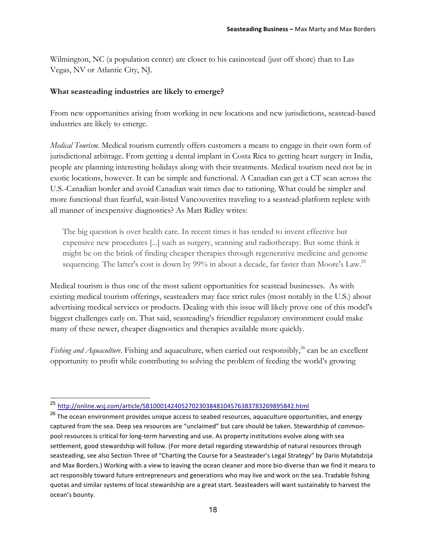Wilmington, NC (a population center) are closer to his casinostead (just off shore) than to Las Vegas, NV or Atlantic City, NJ.

### **What seasteading industries are likely to emerge?**

From new opportunities arising from working in new locations and new jurisdictions, seastead-based industries are likely to emerge.

*Medical Tourism.* Medical tourism currently offers customers a means to engage in their own form of jurisdictional arbitrage. From getting a dental implant in Costa Rica to getting heart surgery in India, people are planning interesting holidays along with their treatments. Medical tourism need not be in exotic locations, however. It can be simple and functional. A Canadian can get a CT scan across the U.S.-Canadian border and avoid Canadian wait times due to rationing. What could be simpler and more functional than fearful, wait-listed Vancouverites traveling to a seastead-platform replete with all manner of inexpensive diagnostics? As Matt Ridley writes:

The big question is over health care. In recent times it has tended to invent effective but expensive new procedures [...] such as surgery, scanning and radiotherapy. But some think it might be on the brink of finding cheaper therapies through regenerative medicine and genome sequencing. The latter's cost is down by 99% in about a decade, far faster than Moore's Law.<sup>25</sup>

Medical tourism is thus one of the most salient opportunities for seastead businesses. As with existing medical tourism offerings, seasteaders may face strict rules (most notably in the U.S.) about advertising medical services or products. Dealing with this issue will likely prove one of this model's biggest challenges early on. That said, seasteading's friendlier regulatory environment could make many of these newer, cheaper diagnostics and therapies available more quickly.

*Fishing and Aquaculture*. Fishing and aquaculture, when carried out responsibly,<sup>26</sup> can be an excellent opportunity to profit while contributing to solving the problem of feeding the world's growing

 <sup>25</sup> http://online.wsj.com/article/SB10001424052702303848104576383783269895842.html

<sup>&</sup>lt;sup>26</sup> The ocean environment provides unique access to seabed resources, aquaculture opportunities, and energy captured from the sea. Deep sea resources are "unclaimed" but care should be taken. Stewardship of commonpool resources is critical for long-term harvesting and use. As property institutions evolve along with sea settlement, good stewardship will follow. (For more detail regarding stewardship of natural resources through seasteading, see also Section Three of "Charting the Course for a Seasteader's Legal Strategy" by Dario Mutabdzija and Max Borders.) Working with a view to leaving the ocean cleaner and more bio-diverse than we find it means to act responsibly toward future entrepreneurs and generations who may live and work on the sea. Tradable fishing quotas and similar systems of local stewardship are a great start. Seasteaders will want sustainably to harvest the ocean's bounty.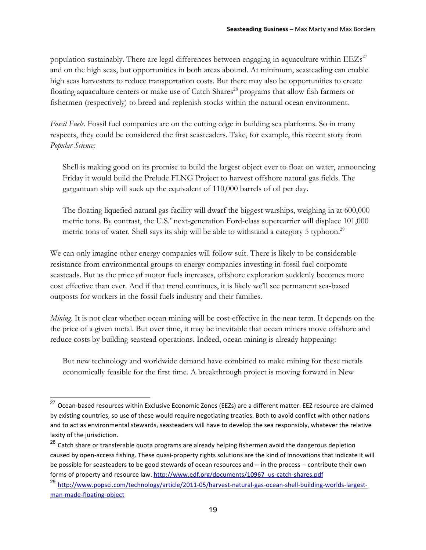population sustainably. There are legal differences between engaging in aquaculture within  $EEZs^{27}$ and on the high seas, but opportunities in both areas abound. At minimum, seasteading can enable high seas harvesters to reduce transportation costs. But there may also be opportunities to create floating aquaculture centers or make use of Catch Shares<sup>28</sup> programs that allow fish farmers or fishermen (respectively) to breed and replenish stocks within the natural ocean environment.

*Fossil Fuels.* Fossil fuel companies are on the cutting edge in building sea platforms. So in many respects, they could be considered the first seasteaders. Take, for example, this recent story from *Popular Science:*

Shell is making good on its promise to build the largest object ever to float on water, announcing Friday it would build the Prelude FLNG Project to harvest offshore natural gas fields. The gargantuan ship will suck up the equivalent of 110,000 barrels of oil per day.

The floating liquefied natural gas facility will dwarf the biggest warships, weighing in at 600,000 metric tons. By contrast, the U.S.' next-generation Ford-class supercarrier will displace 101,000 metric tons of water. Shell says its ship will be able to withstand a category 5 typhoon.<sup>29</sup>

We can only imagine other energy companies will follow suit. There is likely to be considerable resistance from environmental groups to energy companies investing in fossil fuel corporate seasteads. But as the price of motor fuels increases, offshore exploration suddenly becomes more cost effective than ever. And if that trend continues, it is likely we'll see permanent sea-based outposts for workers in the fossil fuels industry and their families.

*Mining*. It is not clear whether ocean mining will be cost-effective in the near term. It depends on the the price of a given metal. But over time, it may be inevitable that ocean miners move offshore and reduce costs by building seastead operations. Indeed, ocean mining is already happening:

But new technology and worldwide demand have combined to make mining for these metals economically feasible for the first time. A breakthrough project is moving forward in New

 $27$  Ocean-based resources within Exclusive Economic Zones (EEZs) are a different matter. EEZ resource are claimed by existing countries, so use of these would require negotiating treaties. Both to avoid conflict with other nations and to act as environmental stewards, seasteaders will have to develop the sea responsibly, whatever the relative laxity of the jurisdiction.

 $^{28}$  Catch share or transferable quota programs are already helping fishermen avoid the dangerous depletion caused by open-access fishing. These quasi-property rights solutions are the kind of innovations that indicate it will be possible for seasteaders to be good stewards of ocean resources and -- in the process -- contribute their own forms of property and resource law. http://www.edf.org/documents/10967\_us-catch-shares.pdf

<sup>&</sup>lt;sup>29</sup> http://www.popsci.com/technology/article/2011-05/harvest-natural-gas-ocean-shell-building-worlds-largestman-made-floating-object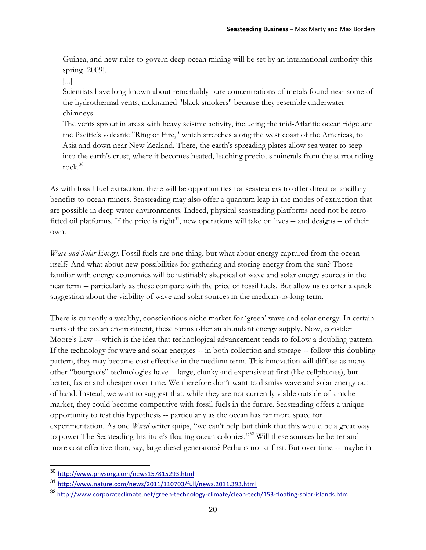Guinea, and new rules to govern deep ocean mining will be set by an international authority this spring [2009].

[...]

Scientists have long known about remarkably pure concentrations of metals found near some of the hydrothermal vents, nicknamed "black smokers" because they resemble underwater chimneys.

The vents sprout in areas with heavy seismic activity, including the mid-Atlantic ocean ridge and the Pacific's volcanic "Ring of Fire," which stretches along the west coast of the Americas, to Asia and down near New Zealand. There, the earth's spreading plates allow sea water to seep into the earth's crust, where it becomes heated, leaching precious minerals from the surrounding rock. $30$ 

As with fossil fuel extraction, there will be opportunities for seasteaders to offer direct or ancillary benefits to ocean miners. Seasteading may also offer a quantum leap in the modes of extraction that are possible in deep water environments. Indeed, physical seasteading platforms need not be retrofitted oil platforms. If the price is right<sup>31</sup>, new operations will take on lives  $-$  and designs  $-$  of their own.

*Wave and Solar Energy.* Fossil fuels are one thing, but what about energy captured from the ocean itself? And what about new possibilities for gathering and storing energy from the sun? Those familiar with energy economics will be justifiably skeptical of wave and solar energy sources in the near term -- particularly as these compare with the price of fossil fuels. But allow us to offer a quick suggestion about the viability of wave and solar sources in the medium-to-long term.

There is currently a wealthy, conscientious niche market for 'green' wave and solar energy. In certain parts of the ocean environment, these forms offer an abundant energy supply. Now, consider Moore's Law -- which is the idea that technological advancement tends to follow a doubling pattern. If the technology for wave and solar energies -- in both collection and storage -- follow this doubling pattern, they may become cost effective in the medium term. This innovation will diffuse as many other "bourgeois" technologies have -- large, clunky and expensive at first (like cellphones), but better, faster and cheaper over time. We therefore don't want to dismiss wave and solar energy out of hand. Instead, we want to suggest that, while they are not currently viable outside of a niche market, they could become competitive with fossil fuels in the future. Seasteading offers a unique opportunity to test this hypothesis -- particularly as the ocean has far more space for experimentation. As one *Wired* writer quips, "we can't help but think that this would be a great way to power The Seasteading Institute's floating ocean colonies."32 Will these sources be better and more cost effective than, say, large diesel generators? Perhaps not at first. But over time -- maybe in

 <sup>30</sup> http://www.physorg.com/news157815293.html

http://www.nature.com/news/2011/110703/full/news.2011.393.html

<sup>32</sup> http://www.corporateclimate.net/green-technology-climate/clean-tech/153-floating-solar-islands.html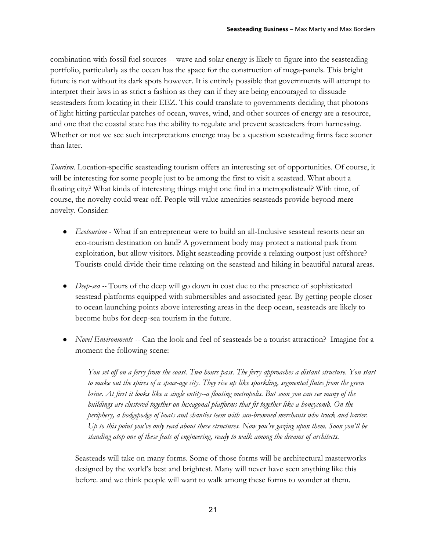combination with fossil fuel sources -- wave and solar energy is likely to figure into the seasteading portfolio, particularly as the ocean has the space for the construction of mega-panels. This bright future is not without its dark spots however. It is entirely possible that governments will attempt to interpret their laws in as strict a fashion as they can if they are being encouraged to dissuade seasteaders from locating in their EEZ. This could translate to governments deciding that photons of light hitting particular patches of ocean, waves, wind, and other sources of energy are a resource, and one that the coastal state has the ability to regulate and prevent seasteaders from harnessing. Whether or not we see such interpretations emerge may be a question seasteading firms face sooner than later.

*Tourism.* Location-specific seasteading tourism offers an interesting set of opportunities. Of course, it will be interesting for some people just to be among the first to visit a seastead. What about a floating city? What kinds of interesting things might one find in a metropolistead? With time, of course, the novelty could wear off. People will value amenities seasteads provide beyond mere novelty. Consider:

- *Ecotourism* What if an entrepreneur were to build an all-Inclusive seastead resorts near an eco-tourism destination on land? A government body may protect a national park from exploitation, but allow visitors. Might seasteading provide a relaxing outpost just offshore? Tourists could divide their time relaxing on the seastead and hiking in beautiful natural areas.
- *Deep-sea --* Tours of the deep will go down in cost due to the presence of sophisticated seastead platforms equipped with submersibles and associated gear. By getting people closer to ocean launching points above interesting areas in the deep ocean, seasteads are likely to become hubs for deep-sea tourism in the future.
- *Novel Environments* -- Can the look and feel of seasteads be a tourist attraction? Imagine for a moment the following scene:

*You set off on a ferry from the coast. Two hours pass. The ferry approaches a distant structure. You start to make out the spires of a space-age city. They rise up like sparkling, segmented flutes from the green brine. At first it looks like a single entity--a floating metropolis. But soon you can see many of the buildings are clustered together on hexagonal platforms that fit together like a honeycomb. On the periphery, a hodgepodge of boats and shanties teem with sun-browned merchants who truck and barter. Up to this point you've only read about these structures. Now you're gazing upon them. Soon you'll be standing atop one of these feats of engineering, ready to walk among the dreams of architects.*

Seasteads will take on many forms. Some of those forms will be architectural masterworks designed by the world's best and brightest. Many will never have seen anything like this before. and we think people will want to walk among these forms to wonder at them.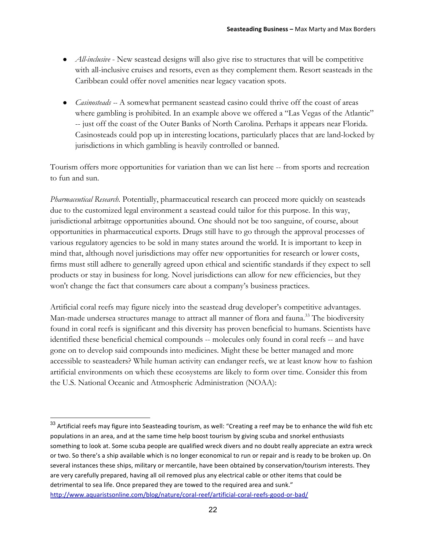- *All-inclusive* New seastead designs will also give rise to structures that will be competitive with all-inclusive cruises and resorts, even as they complement them. Resort seasteads in the Caribbean could offer novel amenities near legacy vacation spots.
- *Casinosteads --* A somewhat permanent seastead casino could thrive off the coast of areas where gambling is prohibited. In an example above we offered a "Las Vegas of the Atlantic" -- just off the coast of the Outer Banks of North Carolina. Perhaps it appears near Florida. Casinosteads could pop up in interesting locations, particularly places that are land-locked by jurisdictions in which gambling is heavily controlled or banned.

Tourism offers more opportunities for variation than we can list here -- from sports and recreation to fun and sun.

*Pharmaceutical Research.* Potentially, pharmaceutical research can proceed more quickly on seasteads due to the customized legal environment a seastead could tailor for this purpose. In this way, jurisdictional arbitrage opportunities abound. One should not be too sanguine, of course, about opportunities in pharmaceutical exports. Drugs still have to go through the approval processes of various regulatory agencies to be sold in many states around the world. It is important to keep in mind that, although novel jurisdictions may offer new opportunities for research or lower costs, firms must still adhere to generally agreed upon ethical and scientific standards if they expect to sell products or stay in business for long. Novel jurisdictions can allow for new efficiencies, but they won't change the fact that consumers care about a company's business practices.

Artificial coral reefs may figure nicely into the seastead drug developer's competitive advantages. Man-made undersea structures manage to attract all manner of flora and fauna.<sup>33</sup> The biodiversity found in coral reefs is significant and this diversity has proven beneficial to humans. Scientists have identified these beneficial chemical compounds -- molecules only found in coral reefs -- and have gone on to develop said compounds into medicines. Might these be better managed and more accessible to seasteaders? While human activity can endanger reefs, we at least know how to fashion artificial environments on which these ecosystems are likely to form over time. Consider this from the U.S. National Oceanic and Atmospheric Administration (NOAA):

 $33$  Artificial reefs may figure into Seasteading tourism, as well: "Creating a reef may be to enhance the wild fish etc populations in an area, and at the same time help boost tourism by giving scuba and snorkel enthusiasts something to look at. Some scuba people are qualified wreck divers and no doubt really appreciate an extra wreck or two. So there's a ship available which is no longer economical to run or repair and is ready to be broken up. On several instances these ships, military or mercantile, have been obtained by conservation/tourism interests. They are very carefully prepared, having all oil removed plus any electrical cable or other items that could be detrimental to sea life. Once prepared they are towed to the required area and sunk." http://www.aquaristsonline.com/blog/nature/coral-reef/artificial-coral-reefs-good-or-bad/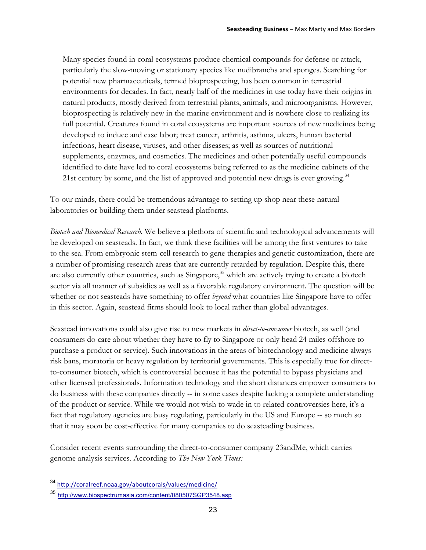Many species found in coral ecosystems produce chemical compounds for defense or attack, particularly the slow-moving or stationary species like nudibranchs and sponges. Searching for potential new pharmaceuticals, termed bioprospecting, has been common in terrestrial environments for decades. In fact, nearly half of the medicines in use today have their origins in natural products, mostly derived from terrestrial plants, animals, and microorganisms. However, bioprospecting is relatively new in the marine environment and is nowhere close to realizing its full potential. Creatures found in coral ecosystems are important sources of new medicines being developed to induce and ease labor; treat cancer, arthritis, asthma, ulcers, human bacterial infections, heart disease, viruses, and other diseases; as well as sources of nutritional supplements, enzymes, and cosmetics. The medicines and other potentially useful compounds identified to date have led to coral ecosystems being referred to as the medicine cabinets of the 21st century by some, and the list of approved and potential new drugs is ever growing.<sup>34</sup>

To our minds, there could be tremendous advantage to setting up shop near these natural laboratories or building them under seastead platforms.

*Biotech and Biomedical Research.* We believe a plethora of scientific and technological advancements will be developed on seasteads. In fact, we think these facilities will be among the first ventures to take to the sea. From embryonic stem-cell research to gene therapies and genetic customization, there are a number of promising research areas that are currently retarded by regulation. Despite this, there are also currently other countries, such as Singapore,<sup>35</sup> which are actively trying to create a biotech sector via all manner of subsidies as well as a favorable regulatory environment. The question will be whether or not seasteads have something to offer *beyond* what countries like Singapore have to offer in this sector. Again, seastead firms should look to local rather than global advantages.

Seastead innovations could also give rise to new markets in *direct-to-consumer* biotech, as well (and consumers do care about whether they have to fly to Singapore or only head 24 miles offshore to purchase a product or service). Such innovations in the areas of biotechnology and medicine always risk bans, moratoria or heavy regulation by territorial governments. This is especially true for directto-consumer biotech, which is controversial because it has the potential to bypass physicians and other licensed professionals. Information technology and the short distances empower consumers to do business with these companies directly -- in some cases despite lacking a complete understanding of the product or service. While we would not wish to wade in to related controversies here, it's a fact that regulatory agencies are busy regulating, particularly in the US and Europe -- so much so that it may soon be cost-effective for many companies to do seasteading business.

Consider recent events surrounding the direct-to-consumer company 23andMe, which carries genome analysis services. According to *The New York Times:*

 <sup>34</sup> http://coralreef.noaa.gov/aboutcorals/values/medicine/

<sup>35</sup> http://www.biospectrumasia.com/content/080507SGP3548.asp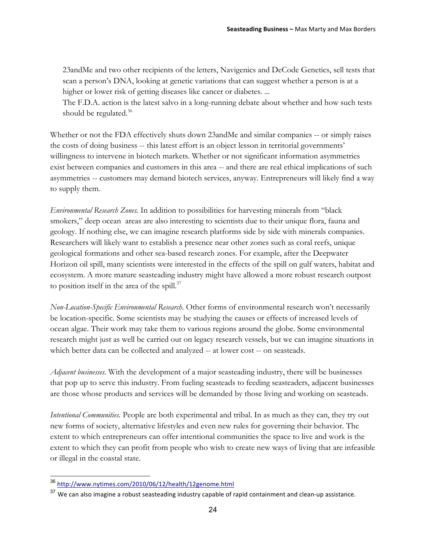23andMe and two other recipients of the letters, Navigenics and DeCode Genetics, sell tests that scan a person's DNA, looking at genetic variations that can suggest whether a person is at a higher or lower risk of getting diseases like cancer or diabetes. ...

The F.D.A. action is the latest salvo in a long-running debate about whether and how such tests should be regulated.<sup>36</sup>

Whether or not the FDA effectively shuts down 23andMe and similar companies -- or simply raises the costs of doing business -- this latest effort is an object lesson in territorial governments' willingness to intervene in biotech markets. Whether or not significant information asymmetries exist between companies and customers in this area -- and there are real ethical implications of such asymmetries -- customers may demand biotech services, anyway. Entrepreneurs will likely find a way to supply them.

*Environmental Research Zones.* In addition to possibilities for harvesting minerals from "black smokers," deep ocean areas are also interesting to scientists due to their unique flora, fauna and geology. If nothing else, we can imagine research platforms side by side with minerals companies. Researchers will likely want to establish a presence near other zones such as coral reefs, unique geological formations and other sea-based research zones. For example, after the Deepwater Horizon oil spill, many scientists were interested in the effects of the spill on gulf waters, habitat and ecosystem. A more mature seasteading industry might have allowed a more robust research outpost to position itself in the area of the spill. $^{37}$ 

*Non-Location-Specific Environmental Research*. Other forms of environmental research won't necessarily be location-specific. Some scientists may be studying the causes or effects of increased levels of ocean algae. Their work may take them to various regions around the globe. Some environmental research might just as well be carried out on legacy research vessels, but we can imagine situations in which better data can be collected and analyzed -- at lower cost -- on seasteads.

*Adjacent businesses.* With the development of a major seasteading industry, there will be businesses that pop up to serve this industry. From fueling seasteads to feeding seasteaders, adjacent businesses are those whose products and services will be demanded by those living and working on seasteads.

*Intentional Communities.* People are both experimental and tribal. In as much as they can, they try out new forms of society, alternative lifestyles and even new rules for governing their behavior. The extent to which entrepreneurs can offer intentional communities the space to live and work is the extent to which they can profit from people who wish to create new ways of living that are infeasible or illegal in the coastal state.

 <sup>36</sup> http://www.nytimes.com/2010/06/12/health/12genome.html

 $37$  We can also imagine a robust seasteading industry capable of rapid containment and clean-up assistance.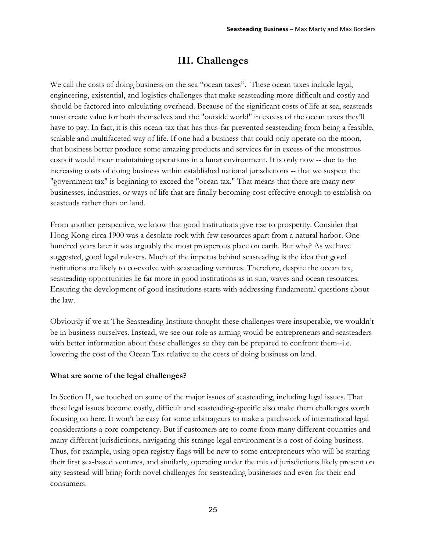### **III. Challenges**

We call the costs of doing business on the sea "ocean taxes". These ocean taxes include legal, engineering, existential, and logistics challenges that make seasteading more difficult and costly and should be factored into calculating overhead. Because of the significant costs of life at sea, seasteads must create value for both themselves and the "outside world" in excess of the ocean taxes they'll have to pay. In fact, it is this ocean-tax that has thus-far prevented seasteading from being a feasible, scalable and multifaceted way of life. If one had a business that could only operate on the moon, that business better produce some amazing products and services far in excess of the monstrous costs it would incur maintaining operations in a lunar environment. It is only now -- due to the increasing costs of doing business within established national jurisdictions -- that we suspect the "government tax" is beginning to exceed the "ocean tax." That means that there are many new businesses, industries, or ways of life that are finally becoming cost-effective enough to establish on seasteads rather than on land.

From another perspective, we know that good institutions give rise to prosperity. Consider that Hong Kong circa 1900 was a desolate rock with few resources apart from a natural harbor. One hundred years later it was arguably the most prosperous place on earth. But why? As we have suggested, good legal rulesets. Much of the impetus behind seasteading is the idea that good institutions are likely to co-evolve with seasteading ventures. Therefore, despite the ocean tax, seasteading opportunities lie far more in good institutions as in sun, waves and ocean resources. Ensuring the development of good institutions starts with addressing fundamental questions about the law.

Obviously if we at The Seasteading Institute thought these challenges were insuperable, we wouldn't be in business ourselves. Instead, we see our role as arming would-be entrepreneurs and seasteaders with better information about these challenges so they can be prepared to confront them--i.e. lowering the cost of the Ocean Tax relative to the costs of doing business on land.

### **What are some of the legal challenges?**

In Section II, we touched on some of the major issues of seasteading, including legal issues. That these legal issues become costly, difficult and seasteading-specific also make them challenges worth focusing on here. It won't be easy for some arbitrageurs to make a patchwork of international legal considerations a core competency. But if customers are to come from many different countries and many different jurisdictions, navigating this strange legal environment is a cost of doing business. Thus, for example, using open registry flags will be new to some entrepreneurs who will be starting their first sea-based ventures, and similarly, operating under the mix of jurisdictions likely present on any seastead will bring forth novel challenges for seasteading businesses and even for their end consumers.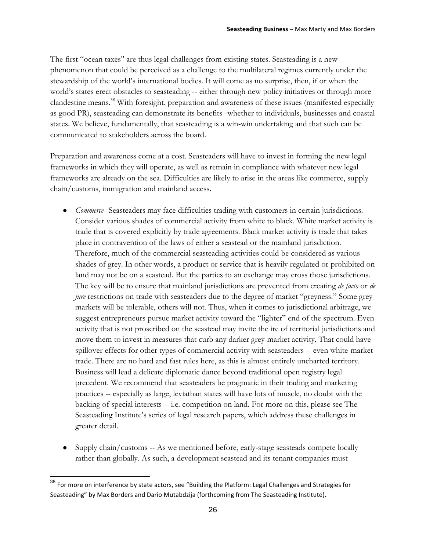The first "ocean taxes" are thus legal challenges from existing states. Seasteading is a new phenomenon that could be perceived as a challenge to the multilateral regimes currently under the stewardship of the world's international bodies. It will come as no surprise, then, if or when the world's states erect obstacles to seasteading -- either through new policy initiatives or through more clandestine means.<sup>38</sup> With foresight, preparation and awareness of these issues (manifested especially as good PR), seasteading can demonstrate its benefits--whether to individuals, businesses and coastal states. We believe, fundamentally, that seasteading is a win-win undertaking and that such can be communicated to stakeholders across the board.

Preparation and awareness come at a cost. Seasteaders will have to invest in forming the new legal frameworks in which they will operate, as well as remain in compliance with whatever new legal frameworks are already on the sea. Difficulties are likely to arise in the areas like commerce, supply chain/customs, immigration and mainland access.

- *● Commerce*--Seasteaders may face difficulties trading with customers in certain jurisdictions. Consider various shades of commercial activity from white to black. White market activity is trade that is covered explicitly by trade agreements. Black market activity is trade that takes place in contravention of the laws of either a seastead or the mainland jurisdiction. Therefore, much of the commercial seasteading activities could be considered as various shades of grey. In other words, a product or service that is heavily regulated or prohibited on land may not be on a seastead. But the parties to an exchange may cross those jurisdictions. The key will be to ensure that mainland jurisdictions are prevented from creating *de facto* or *de jure* restrictions on trade with seasteaders due to the degree of market "greyness." Some grey markets will be tolerable, others will not. Thus, when it comes to jurisdictional arbitrage, we suggest entrepreneurs pursue market activity toward the "lighter" end of the spectrum. Even activity that is not proscribed on the seastead may invite the ire of territorial jurisdictions and move them to invest in measures that curb any darker grey-market activity. That could have spillover effects for other types of commercial activity with seasteaders -- even white-market trade. There are no hard and fast rules here, as this is almost entirely uncharted territory. Business will lead a delicate diplomatic dance beyond traditional open registry legal precedent. We recommend that seasteaders be pragmatic in their trading and marketing practices -- especially as large, leviathan states will have lots of muscle, no doubt with the backing of special interests -- i.e. competition on land. For more on this, please see The Seasteading Institute's series of legal research papers, which address these challenges in greater detail.
- *●* Supply chain/customs -- As we mentioned before, early-stage seasteads compete locally rather than globally. As such, a development seastead and its tenant companies must

 $38$  For more on interference by state actors, see "Building the Platform: Legal Challenges and Strategies for Seasteading" by Max Borders and Dario Mutabdzija (forthcoming from The Seasteading Institute).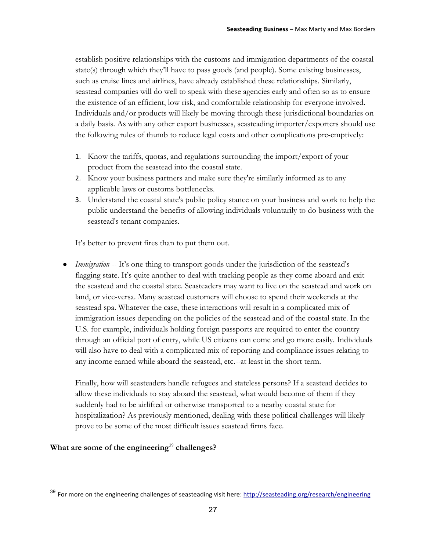establish positive relationships with the customs and immigration departments of the coastal state(s) through which they'll have to pass goods (and people). Some existing businesses, such as cruise lines and airlines, have already established these relationships. Similarly, seastead companies will do well to speak with these agencies early and often so as to ensure the existence of an efficient, low risk, and comfortable relationship for everyone involved. Individuals and/or products will likely be moving through these jurisdictional boundaries on a daily basis. As with any other export businesses, seasteading importer/exporters should use the following rules of thumb to reduce legal costs and other complications pre-emptively:

- 1. Know the tariffs, quotas, and regulations surrounding the import/export of your product from the seastead into the coastal state.
- 2. Know your business partners and make sure they're similarly informed as to any applicable laws or customs bottlenecks.
- 3. Understand the coastal state's public policy stance on your business and work to help the public understand the benefits of allowing individuals voluntarily to do business with the seastead's tenant companies.

It's better to prevent fires than to put them out.

*● Immigration* -- It's one thing to transport goods under the jurisdiction of the seastead's flagging state. It's quite another to deal with tracking people as they come aboard and exit the seastead and the coastal state. Seasteaders may want to live on the seastead and work on land, or vice-versa. Many seastead customers will choose to spend their weekends at the seastead spa. Whatever the case, these interactions will result in a complicated mix of immigration issues depending on the policies of the seastead and of the coastal state. In the U.S. for example, individuals holding foreign passports are required to enter the country through an official port of entry, while US citizens can come and go more easily. Individuals will also have to deal with a complicated mix of reporting and compliance issues relating to any income earned while aboard the seastead, etc.--at least in the short term.

Finally, how will seasteaders handle refugees and stateless persons? If a seastead decides to allow these individuals to stay aboard the seastead, what would become of them if they suddenly had to be airlifted or otherwise transported to a nearby coastal state for hospitalization? As previously mentioned, dealing with these political challenges will likely prove to be some of the most difficult issues seastead firms face.

### What are some of the engineering<sup>39</sup> challenges?

<sup>&</sup>lt;sup>39</sup> For more on the engineering challenges of seasteading visit here: http://seasteading.org/research/engineering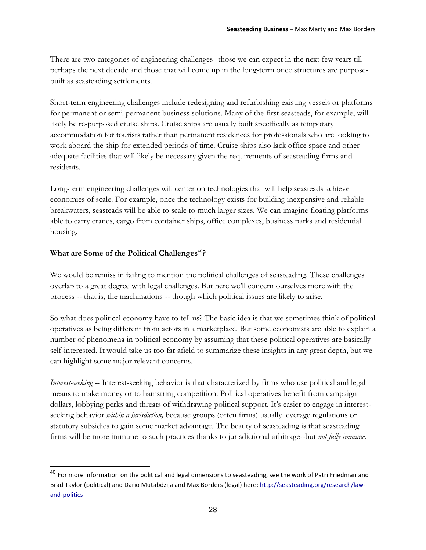There are two categories of engineering challenges--those we can expect in the next few years till perhaps the next decade and those that will come up in the long-term once structures are purposebuilt as seasteading settlements.

Short-term engineering challenges include redesigning and refurbishing existing vessels or platforms for permanent or semi-permanent business solutions. Many of the first seasteads, for example, will likely be re-purposed cruise ships. Cruise ships are usually built specifically as temporary accommodation for tourists rather than permanent residences for professionals who are looking to work aboard the ship for extended periods of time. Cruise ships also lack office space and other adequate facilities that will likely be necessary given the requirements of seasteading firms and residents.

Long-term engineering challenges will center on technologies that will help seasteads achieve economies of scale. For example, once the technology exists for building inexpensive and reliable breakwaters, seasteads will be able to scale to much larger sizes. We can imagine floating platforms able to carry cranes, cargo from container ships, office complexes, business parks and residential housing.

### What are Some of the Political Challenges<sup>40</sup>?

We would be remiss in failing to mention the political challenges of seasteading. These challenges overlap to a great degree with legal challenges. But here we'll concern ourselves more with the process -- that is, the machinations -- though which political issues are likely to arise.

So what does political economy have to tell us? The basic idea is that we sometimes think of political operatives as being different from actors in a marketplace. But some economists are able to explain a number of phenomena in political economy by assuming that these political operatives are basically self-interested. It would take us too far afield to summarize these insights in any great depth, but we can highlight some major relevant concerns.

*Interest-seeking* -- Interest-seeking behavior is that characterized by firms who use political and legal means to make money or to hamstring competition. Political operatives benefit from campaign dollars, lobbying perks and threats of withdrawing political support. It's easier to engage in interestseeking behavior *within a jurisdiction,* because groups (often firms) usually leverage regulations or statutory subsidies to gain some market advantage. The beauty of seasteading is that seasteading firms will be more immune to such practices thanks to jurisdictional arbitrage--but *not fully immune.*

 $40$  For more information on the political and legal dimensions to seasteading, see the work of Patri Friedman and Brad Taylor (political) and Dario Mutabdzija and Max Borders (legal) here: http://seasteading.org/research/lawand-politics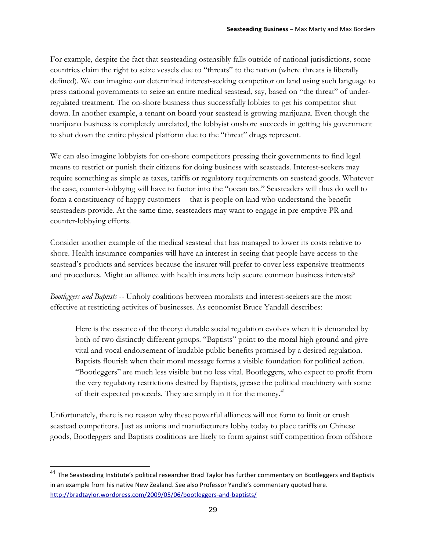For example, despite the fact that seasteading ostensibly falls outside of national jurisdictions, some countries claim the right to seize vessels due to "threats" to the nation (where threats is liberally defined). We can imagine our determined interest-seeking competitor on land using such language to press national governments to seize an entire medical seastead, say, based on "the threat" of underregulated treatment. The on-shore business thus successfully lobbies to get his competitor shut down. In another example, a tenant on board your seastead is growing marijuana. Even though the marijuana business is completely unrelated, the lobbyist onshore succeeds in getting his government to shut down the entire physical platform due to the "threat" drugs represent.

We can also imagine lobbyists for on-shore competitors pressing their governments to find legal means to restrict or punish their citizens for doing business with seasteads. Interest-seekers may require something as simple as taxes, tariffs or regulatory requirements on seastead goods. Whatever the case, counter-lobbying will have to factor into the "ocean tax." Seasteaders will thus do well to form a constituency of happy customers -- that is people on land who understand the benefit seasteaders provide. At the same time, seasteaders may want to engage in pre-emptive PR and counter-lobbying efforts.

Consider another example of the medical seastead that has managed to lower its costs relative to shore. Health insurance companies will have an interest in seeing that people have access to the seastead's products and services because the insurer will prefer to cover less expensive treatments and procedures. Might an alliance with health insurers help secure common business interests?

*Bootleggers and Baptists* -- Unholy coalitions between moralists and interest-seekers are the most effective at restricting activites of businesses. As economist Bruce Yandall describes:

Here is the essence of the theory: durable social regulation evolves when it is demanded by both of two distinctly different groups. "Baptists" point to the moral high ground and give vital and vocal endorsement of laudable public benefits promised by a desired regulation. Baptists flourish when their moral message forms a visible foundation for political action. "Bootleggers" are much less visible but no less vital. Bootleggers, who expect to profit from the very regulatory restrictions desired by Baptists, grease the political machinery with some of their expected proceeds. They are simply in it for the money.<sup>41</sup>

Unfortunately, there is no reason why these powerful alliances will not form to limit or crush seastead competitors. Just as unions and manufacturers lobby today to place tariffs on Chinese goods, Bootleggers and Baptists coalitions are likely to form against stiff competition from offshore

<sup>&</sup>lt;sup>41</sup> The Seasteading Institute's political researcher Brad Taylor has further commentary on Bootleggers and Baptists in an example from his native New Zealand. See also Professor Yandle's commentary quoted here. http://bradtaylor.wordpress.com/2009/05/06/bootleggers-and-baptists/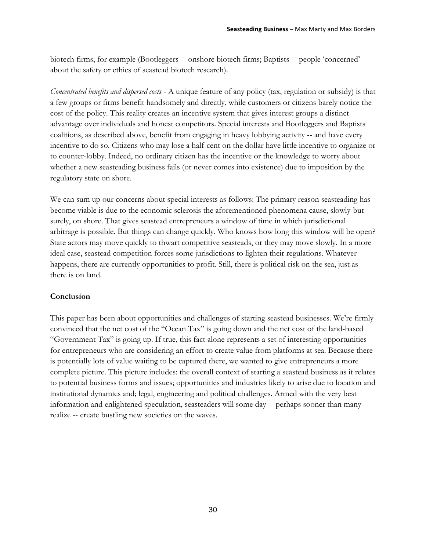biotech firms, for example (Bootleggers = onshore biotech firms; Baptists = people 'concerned' about the safety or ethics of seastead biotech research).

*Concentrated benefits and dispersed costs* - A unique feature of any policy (tax, regulation or subsidy) is that a few groups or firms benefit handsomely and directly, while customers or citizens barely notice the cost of the policy. This reality creates an incentive system that gives interest groups a distinct advantage over individuals and honest competitors. Special interests and Bootleggers and Baptists coalitions, as described above, benefit from engaging in heavy lobbying activity -- and have every incentive to do so. Citizens who may lose a half-cent on the dollar have little incentive to organize or to counter-lobby. Indeed, no ordinary citizen has the incentive or the knowledge to worry about whether a new seasteading business fails (or never comes into existence) due to imposition by the regulatory state on shore.

We can sum up our concerns about special interests as follows: The primary reason seasteading has become viable is due to the economic sclerosis the aforementioned phenomena cause, slowly-butsurely, on shore. That gives seastead entrepreneurs a window of time in which jurisdictional arbitrage is possible. But things can change quickly. Who knows how long this window will be open? State actors may move quickly to thwart competitive seasteads, or they may move slowly. In a more ideal case, seastead competition forces some jurisdictions to lighten their regulations. Whatever happens, there are currently opportunities to profit. Still, there is political risk on the sea, just as there is on land.

### **Conclusion**

This paper has been about opportunities and challenges of starting seastead businesses. We're firmly convinced that the net cost of the "Ocean Tax" is going down and the net cost of the land-based "Government Tax" is going up. If true, this fact alone represents a set of interesting opportunities for entrepreneurs who are considering an effort to create value from platforms at sea. Because there is potentially lots of value waiting to be captured there, we wanted to give entrepreneurs a more complete picture. This picture includes: the overall context of starting a seastead business as it relates to potential business forms and issues; opportunities and industries likely to arise due to location and institutional dynamics and; legal, engineering and political challenges. Armed with the very best information and enlightened speculation, seasteaders will some day -- perhaps sooner than many realize -- create bustling new societies on the waves.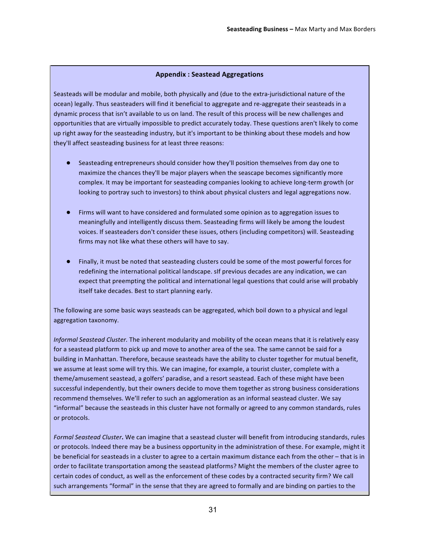#### Appendix: Seastead Aggregations

Seasteads will be modular and mobile, both physically and (due to the extra-jurisdictional nature of the ocean) legally. Thus seasteaders will find it beneficial to aggregate and re-aggregate their seasteads in a dynamic process that isn't available to us on land. The result of this process will be new challenges and opportunities that are virtually impossible to predict accurately today. These questions aren't likely to come up right away for the seasteading industry, but it's important to be thinking about these models and how they'll affect seasteading business for at least three reasons:

- Seasteading entrepreneurs should consider how they'll position themselves from day one to maximize the chances they'll be major players when the seascape becomes significantly more complex. It may be important for seasteading companies looking to achieve long-term growth (or looking to portray such to investors) to think about physical clusters and legal aggregations now.
- Firms will want to have considered and formulated some opinion as to aggregation issues to meaningfully and intelligently discuss them. Seasteading firms will likely be among the loudest voices. If seasteaders don't consider these issues, others (including competitors) will. Seasteading firms may not like what these others will have to say.
- Finally, it must be noted that seasteading clusters could be some of the most powerful forces for redefining the international political landscape. sIf previous decades are any indication, we can expect that preempting the political and international legal questions that could arise will probably itself take decades. Best to start planning early.

The following are some basic ways seasteads can be aggregated, which boil down to a physical and legal aggregation taxonomy.

*Informal Seastead Cluster.* The inherent modularity and mobility of the ocean means that it is relatively easy for a seastead platform to pick up and move to another area of the sea. The same cannot be said for a building in Manhattan. Therefore, because seasteads have the ability to cluster together for mutual benefit, we assume at least some will try this. We can imagine, for example, a tourist cluster, complete with a theme/amusement seastead, a golfers' paradise, and a resort seastead. Each of these might have been successful independently, but their owners decide to move them together as strong business considerations recommend themselves. We'll refer to such an agglomeration as an informal seastead cluster. We say "informal" because the seasteads in this cluster have not formally or agreed to any common standards, rules or protocols.

Formal Seastead Cluster. We can imagine that a seastead cluster will benefit from introducing standards, rules or protocols. Indeed there may be a business opportunity in the administration of these. For example, might it be beneficial for seasteads in a cluster to agree to a certain maximum distance each from the other – that is in order to facilitate transportation among the seastead platforms? Might the members of the cluster agree to certain codes of conduct, as well as the enforcement of these codes by a contracted security firm? We call such arrangements "formal" in the sense that they are agreed to formally and are binding on parties to the